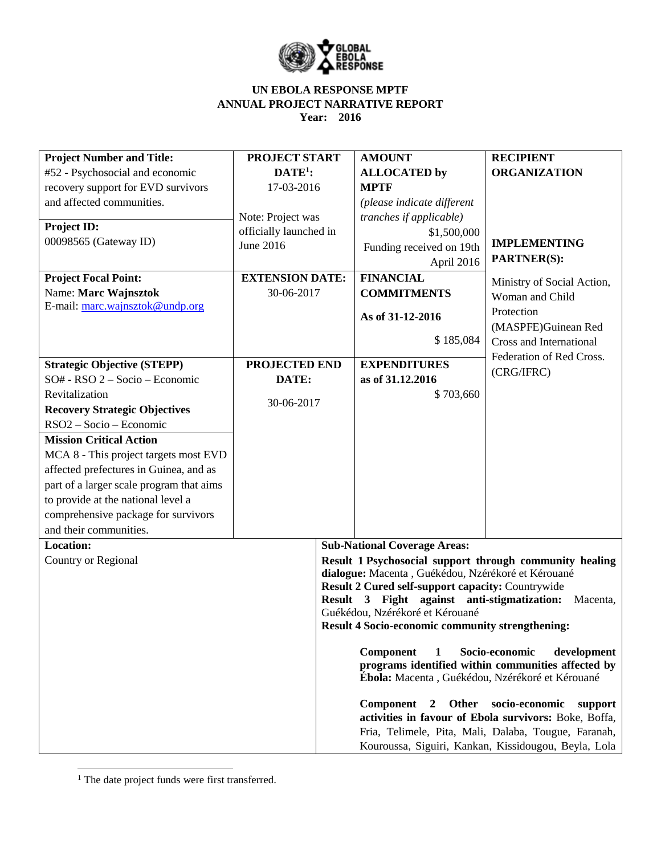

| <b>Project Number and Title:</b>         | <b>PROJECT START</b>   |  | <b>AMOUNT</b>                                           | <b>RECIPIENT</b>                                        |
|------------------------------------------|------------------------|--|---------------------------------------------------------|---------------------------------------------------------|
| #52 - Psychosocial and economic          | $DATE1$ :              |  | <b>ALLOCATED</b> by                                     | <b>ORGANIZATION</b>                                     |
| recovery support for EVD survivors       | 17-03-2016             |  | <b>MPTF</b>                                             |                                                         |
| and affected communities.                |                        |  | (please indicate different                              |                                                         |
|                                          | Note: Project was      |  | tranches if applicable)                                 |                                                         |
| Project ID:                              | officially launched in |  | \$1,500,000                                             |                                                         |
| 00098565 (Gateway ID)                    | June 2016              |  | Funding received on 19th                                | <b>IMPLEMENTING</b>                                     |
|                                          |                        |  | April 2016                                              | <b>PARTNER(S):</b>                                      |
| <b>Project Focal Point:</b>              | <b>EXTENSION DATE:</b> |  | <b>FINANCIAL</b>                                        | Ministry of Social Action,                              |
| Name: Marc Wajnsztok                     | 30-06-2017             |  | <b>COMMITMENTS</b>                                      | Woman and Child                                         |
| E-mail: marc.wajnsztok@undp.org          |                        |  |                                                         | Protection                                              |
|                                          |                        |  | As of 31-12-2016                                        | (MASPFE)Guinean Red                                     |
|                                          |                        |  | \$185,084                                               | Cross and International                                 |
|                                          |                        |  |                                                         |                                                         |
| <b>Strategic Objective (STEPP)</b>       | PROJECTED END          |  | <b>EXPENDITURES</b>                                     | Federation of Red Cross.<br>(CRG/IFRC)                  |
| SO# - RSO 2 - Socio - Economic           | DATE:                  |  | as of 31.12.2016                                        |                                                         |
| Revitalization                           |                        |  | \$703,660                                               |                                                         |
| <b>Recovery Strategic Objectives</b>     | 30-06-2017             |  |                                                         |                                                         |
| RSO2 - Socio - Economic                  |                        |  |                                                         |                                                         |
| <b>Mission Critical Action</b>           |                        |  |                                                         |                                                         |
| MCA 8 - This project targets most EVD    |                        |  |                                                         |                                                         |
| affected prefectures in Guinea, and as   |                        |  |                                                         |                                                         |
| part of a larger scale program that aims |                        |  |                                                         |                                                         |
| to provide at the national level a       |                        |  |                                                         |                                                         |
| comprehensive package for survivors      |                        |  |                                                         |                                                         |
| and their communities.                   |                        |  |                                                         |                                                         |
| <b>Location:</b>                         |                        |  | <b>Sub-National Coverage Areas:</b>                     |                                                         |
| Country or Regional                      |                        |  |                                                         | Result 1 Psychosocial support through community healing |
|                                          |                        |  | dialogue: Macenta, Guékédou, Nzérékoré et Kérouané      |                                                         |
|                                          |                        |  | Result 2 Cured self-support capacity: Countrywide       |                                                         |
|                                          |                        |  | Result 3 Fight against anti-stigmatization:             | Macenta,                                                |
|                                          |                        |  | Guékédou, Nzérékoré et Kérouané                         |                                                         |
|                                          |                        |  | <b>Result 4 Socio-economic community strengthening:</b> |                                                         |
|                                          |                        |  | Component<br>1                                          | Socio-economic<br>development                           |
|                                          |                        |  |                                                         | programs identified within communities affected by      |
|                                          |                        |  | Ébola: Macenta, Guékédou, Nzérékoré et Kérouané         |                                                         |
|                                          |                        |  |                                                         |                                                         |
|                                          |                        |  | Other<br>Component<br>$\mathbf{2}$                      | socio-economic<br>support                               |
|                                          |                        |  |                                                         | activities in favour of Ebola survivors: Boke, Boffa,   |
|                                          |                        |  |                                                         | Fria, Telimele, Pita, Mali, Dalaba, Tougue, Faranah,    |
|                                          |                        |  |                                                         | Kouroussa, Siguiri, Kankan, Kissidougou, Beyla, Lola    |

 $\overline{\phantom{a}}$ <sup>1</sup> The date project funds were first transferred.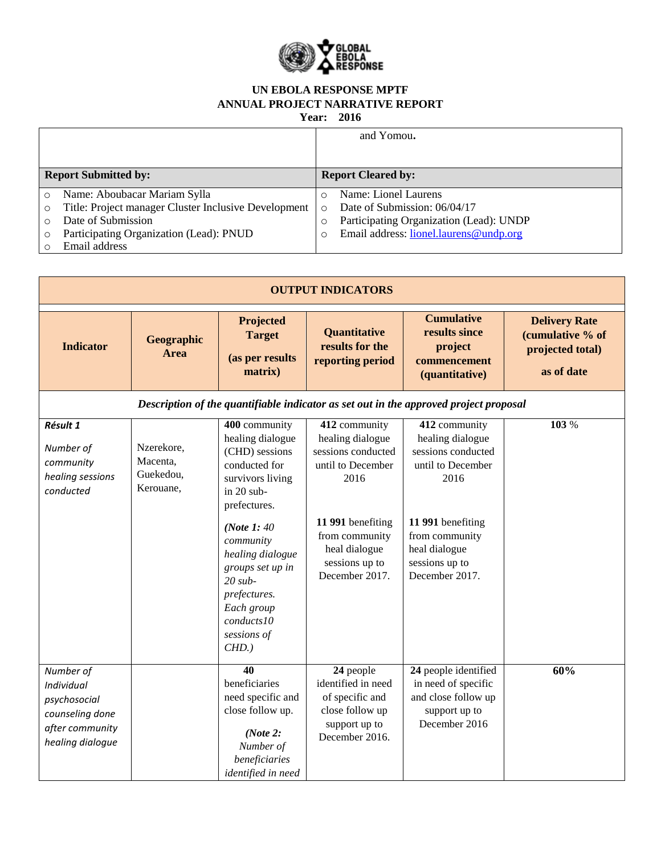

**Year: 2016**

|          |                                                      |          | and Yomou.                              |
|----------|------------------------------------------------------|----------|-----------------------------------------|
|          |                                                      |          |                                         |
|          | <b>Report Submitted by:</b>                          |          | <b>Report Cleared by:</b>               |
| $\Omega$ | Name: Aboubacar Mariam Sylla                         |          | Name: Lionel Laurens                    |
| $\circ$  | Title: Project manager Cluster Inclusive Development | $\Omega$ | Date of Submission: 06/04/17            |
| $\Omega$ | Date of Submission                                   | $\circ$  | Participating Organization (Lead): UNDP |
| $\circ$  | Participating Organization (Lead): PNUD              |          | Email address: lionel.laurens@undp.org  |
|          | Email address                                        |          |                                         |

| <b>OUTPUT INDICATORS</b>                                                                          |                                                  |                                                                                                                                                                                                                                                                                   |                                                                                                                                                                                  |                                                                                                                                                                                  |                                                                            |  |  |
|---------------------------------------------------------------------------------------------------|--------------------------------------------------|-----------------------------------------------------------------------------------------------------------------------------------------------------------------------------------------------------------------------------------------------------------------------------------|----------------------------------------------------------------------------------------------------------------------------------------------------------------------------------|----------------------------------------------------------------------------------------------------------------------------------------------------------------------------------|----------------------------------------------------------------------------|--|--|
| <b>Indicator</b>                                                                                  | Geographic<br><b>Area</b>                        | Projected<br><b>Target</b><br>(as per results<br>matrix)                                                                                                                                                                                                                          | Quantitative<br>results for the<br>reporting period                                                                                                                              | <b>Cumulative</b><br>results since<br>project<br>commencement<br>(quantitative)                                                                                                  | <b>Delivery Rate</b><br>(cumulative % of<br>projected total)<br>as of date |  |  |
|                                                                                                   |                                                  |                                                                                                                                                                                                                                                                                   |                                                                                                                                                                                  | Description of the quantifiable indicator as set out in the approved project proposal                                                                                            |                                                                            |  |  |
| Résult 1<br>Number of<br>community<br>healing sessions<br>conducted                               | Nzerekore,<br>Macenta,<br>Guekedou,<br>Kerouane, | 400 community<br>healing dialogue<br>(CHD) sessions<br>conducted for<br>survivors living<br>in $20$ sub-<br>prefectures.<br>(Note 1: 40)<br>community<br>healing dialogue<br>groups set up in<br>$20$ sub-<br>prefectures.<br>Each group<br>conducts10<br>sessions of<br>$CHD.$ ) | 412 community<br>healing dialogue<br>sessions conducted<br>until to December<br>2016<br>11 991 benefiting<br>from community<br>heal dialogue<br>sessions up to<br>December 2017. | 412 community<br>healing dialogue<br>sessions conducted<br>until to December<br>2016<br>11 991 benefiting<br>from community<br>heal dialogue<br>sessions up to<br>December 2017. | 103 %                                                                      |  |  |
| Number of<br>Individual<br>psychosocial<br>counseling done<br>after community<br>healing dialogue |                                                  | 40<br>beneficiaries<br>need specific and<br>close follow up.<br>(Note 2:<br>Number of<br>beneficiaries<br>identified in need                                                                                                                                                      | 24 people<br>identified in need<br>of specific and<br>close follow up<br>support up to<br>December 2016.                                                                         | 24 people identified<br>in need of specific<br>and close follow up<br>support up to<br>December 2016                                                                             | 60%                                                                        |  |  |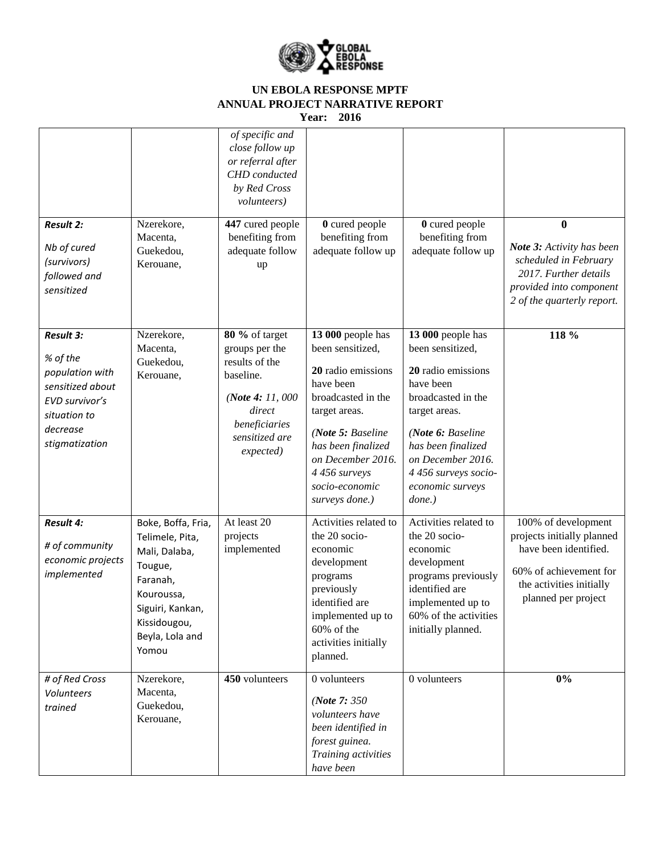

|                                                                                                                                     |                                                                                                                                                             | of specific and<br>close follow up<br>or referral after<br>CHD conducted<br>by Red Cross<br><i>volunteers</i> )                                |                                                                                                                                                                                                                                      |                                                                                                                                                                                                                                          |                                                                                                                                                         |
|-------------------------------------------------------------------------------------------------------------------------------------|-------------------------------------------------------------------------------------------------------------------------------------------------------------|------------------------------------------------------------------------------------------------------------------------------------------------|--------------------------------------------------------------------------------------------------------------------------------------------------------------------------------------------------------------------------------------|------------------------------------------------------------------------------------------------------------------------------------------------------------------------------------------------------------------------------------------|---------------------------------------------------------------------------------------------------------------------------------------------------------|
| <b>Result 2:</b><br>Nb of cured<br>(survivors)<br>followed and<br>sensitized                                                        | Nzerekore,<br>Macenta,<br>Guekedou,<br>Kerouane,                                                                                                            | 447 cured people<br>benefiting from<br>adequate follow<br>up                                                                                   | 0 cured people<br>benefiting from<br>adequate follow up                                                                                                                                                                              | 0 cured people<br>benefiting from<br>adequate follow up                                                                                                                                                                                  | $\mathbf{0}$<br>Note 3: Activity has been<br>scheduled in February<br>2017. Further details<br>provided into component<br>2 of the quarterly report.    |
| <b>Result 3:</b><br>% of the<br>population with<br>sensitized about<br>EVD survivor's<br>situation to<br>decrease<br>stigmatization | Nzerekore,<br>Macenta,<br>Guekedou,<br>Kerouane,                                                                                                            | 80 % of target<br>groups per the<br>results of the<br>baseline.<br>(Note 4: 11, 000)<br>direct<br>beneficiaries<br>sensitized are<br>expected) | 13 000 people has<br>been sensitized,<br>20 radio emissions<br>have been<br>broadcasted in the<br>target areas.<br>(Note 5: Baseline<br>has been finalized<br>on December 2016.<br>4 456 surveys<br>socio-economic<br>surveys done.) | 13 000 people has<br>been sensitized.<br>20 radio emissions<br>have been<br>broadcasted in the<br>target areas.<br>(Note 6: Baseline<br>has been finalized<br>on December 2016.<br>4 456 surveys socio-<br>economic surveys<br>$done.$ ) | 118 %                                                                                                                                                   |
| <b>Result 4:</b><br># of community<br>economic projects<br>implemented                                                              | Boke, Boffa, Fria,<br>Telimele, Pita,<br>Mali, Dalaba,<br>Tougue,<br>Faranah,<br>Kouroussa,<br>Siguiri, Kankan,<br>Kissidougou,<br>Beyla, Lola and<br>Yomou | At least 20<br>projects<br>implemented                                                                                                         | Activities related to<br>the 20 socio-<br>economic<br>development<br>programs<br>previously<br>identified are<br>implemented up to<br>60% of the<br>activities initially<br>planned.                                                 | Activities related to<br>the 20 socio-<br>economic<br>development<br>programs previously<br>identified are<br>implemented up to<br>60% of the activities<br>initially planned.                                                           | 100% of development<br>projects initially planned<br>have been identified.<br>60% of achievement for<br>the activities initially<br>planned per project |
| # of Red Cross<br>Volunteers<br>trained                                                                                             | Nzerekore,<br>Macenta,<br>Guekedou,<br>Kerouane,                                                                                                            | 450 volunteers                                                                                                                                 | 0 volunteers<br>( <i>Note</i> $7:350$<br>volunteers have<br>been identified in<br>forest guinea.<br>Training activities<br>have been                                                                                                 | 0 volunteers                                                                                                                                                                                                                             | $0\%$                                                                                                                                                   |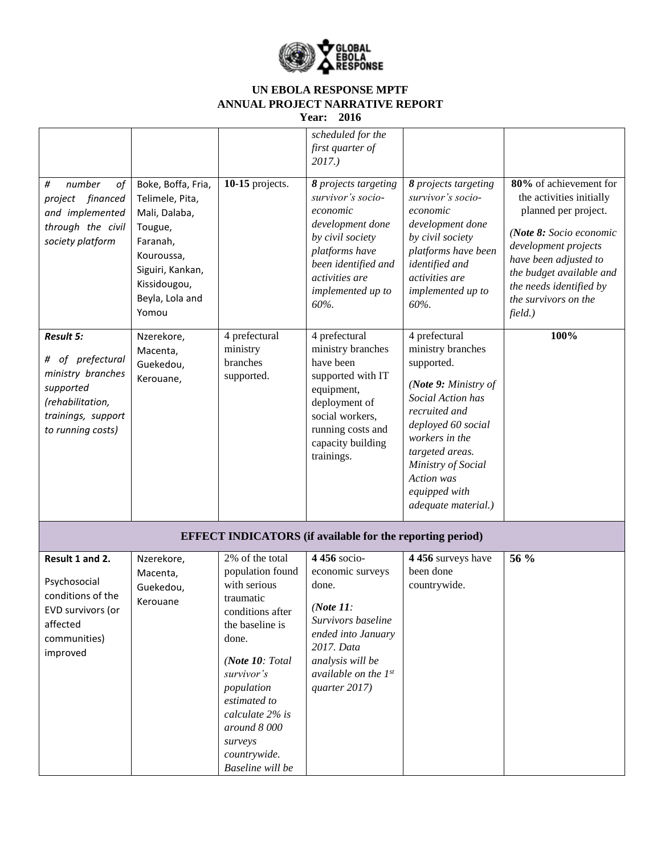

|                                                                                                                                       |                                                                                                                                                             |                                                                                                                                                                                                                                                                     | scheduled for the<br>first quarter of<br>$2017.$ )                                                                                                                                    |                                                                                                                                                                                                                                                       |                                                                                                                                                                                                                                                  |  |  |
|---------------------------------------------------------------------------------------------------------------------------------------|-------------------------------------------------------------------------------------------------------------------------------------------------------------|---------------------------------------------------------------------------------------------------------------------------------------------------------------------------------------------------------------------------------------------------------------------|---------------------------------------------------------------------------------------------------------------------------------------------------------------------------------------|-------------------------------------------------------------------------------------------------------------------------------------------------------------------------------------------------------------------------------------------------------|--------------------------------------------------------------------------------------------------------------------------------------------------------------------------------------------------------------------------------------------------|--|--|
| number<br>#<br>оf<br>project financed<br>and implemented<br>through the civil<br>society platform                                     | Boke, Boffa, Fria,<br>Telimele, Pita,<br>Mali, Dalaba,<br>Tougue,<br>Faranah,<br>Kouroussa,<br>Siguiri, Kankan,<br>Kissidougou,<br>Beyla, Lola and<br>Yomou | 10-15 projects.                                                                                                                                                                                                                                                     | 8 projects targeting<br>survivor's socio-<br>economic<br>development done<br>by civil society<br>platforms have<br>been identified and<br>activities are<br>implemented up to<br>60%. | 8 projects targeting<br>survivor's socio-<br>economic<br>development done<br>by civil society<br>platforms have been<br>identified and<br>activities are<br>implemented up to<br>60%.                                                                 | 80% of achievement for<br>the activities initially<br>planned per project.<br>(Note 8: Socio economic<br>development projects<br>have been adjusted to<br>the budget available and<br>the needs identified by<br>the survivors on the<br>field.) |  |  |
| <b>Result 5:</b><br># of prefectural<br>ministry branches<br>supported<br>(rehabilitation,<br>trainings, support<br>to running costs) | Nzerekore,<br>Macenta,<br>Guekedou,<br>Kerouane,                                                                                                            | 4 prefectural<br>ministry<br>branches<br>supported.                                                                                                                                                                                                                 | 4 prefectural<br>ministry branches<br>have been<br>supported with IT<br>equipment,<br>deployment of<br>social workers,<br>running costs and<br>capacity building<br>trainings.        | 4 prefectural<br>ministry branches<br>supported.<br>(Note 9: Ministry of<br>Social Action has<br>recruited and<br>deployed 60 social<br>workers in the<br>targeted areas.<br>Ministry of Social<br>Action was<br>equipped with<br>adequate material.) | 100%                                                                                                                                                                                                                                             |  |  |
| <b>EFFECT INDICATORS</b> (if available for the reporting period)                                                                      |                                                                                                                                                             |                                                                                                                                                                                                                                                                     |                                                                                                                                                                                       |                                                                                                                                                                                                                                                       |                                                                                                                                                                                                                                                  |  |  |
| Result 1 and 2.<br>Psychosocial<br>conditions of the<br>EVD survivors (or<br>affected<br>communities)<br>improved                     | Nzerekore,<br>Macenta,<br>Guekedou,<br>Kerouane                                                                                                             | 2% of the total<br>population found<br>with serious<br>traumatic<br>conditions after<br>the baseline is<br>done.<br>(Note $10: Total$<br>survivor's<br>population<br>estimated to<br>calculate 2% is<br>around 8 000<br>surveys<br>countrywide.<br>Baseline will be | 4 456 socio-<br>economic surveys<br>done.<br>(Note $11$ :<br>Survivors baseline<br>ended into January<br>2017. Data<br>analysis will be<br>available on the $1^{st}$<br>quarter 2017) | 4 456 surveys have<br>been done<br>countrywide.                                                                                                                                                                                                       | 56 %                                                                                                                                                                                                                                             |  |  |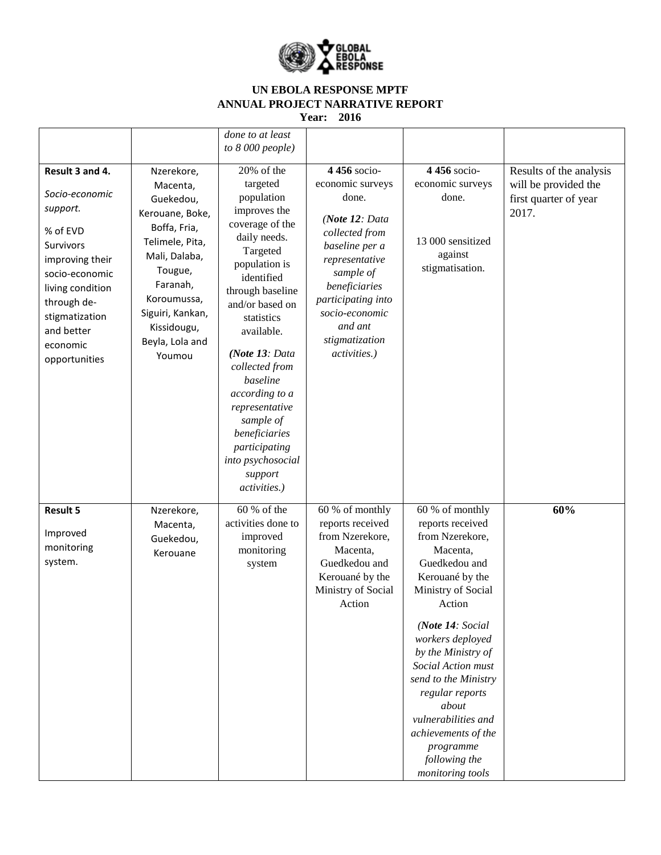

|                                                                                                                                                                                                             |                                                                                                                                                                                                                  | done to at least<br>to $8000$ people)                                                                                                                                                                                                                                                     |                                                                                                                                                                                                                                      |                                                                                                                                                                                                                                                                                                                                                                                             |                                                                                   |
|-------------------------------------------------------------------------------------------------------------------------------------------------------------------------------------------------------------|------------------------------------------------------------------------------------------------------------------------------------------------------------------------------------------------------------------|-------------------------------------------------------------------------------------------------------------------------------------------------------------------------------------------------------------------------------------------------------------------------------------------|--------------------------------------------------------------------------------------------------------------------------------------------------------------------------------------------------------------------------------------|---------------------------------------------------------------------------------------------------------------------------------------------------------------------------------------------------------------------------------------------------------------------------------------------------------------------------------------------------------------------------------------------|-----------------------------------------------------------------------------------|
| Result 3 and 4.<br>Socio-economic<br>support.<br>% of EVD<br>Survivors<br>improving their<br>socio-economic<br>living condition<br>through de-<br>stigmatization<br>and better<br>economic<br>opportunities | Nzerekore,<br>Macenta,<br>Guekedou,<br>Kerouane, Boke,<br>Boffa, Fria,<br>Telimele, Pita,<br>Mali, Dalaba,<br>Tougue,<br>Faranah,<br>Koroumussa,<br>Siguiri, Kankan,<br>Kissidougu,<br>Beyla, Lola and<br>Youmou | 20% of the<br>targeted<br>population<br>improves the<br>coverage of the<br>daily needs.<br>Targeted<br>population is<br>identified<br>through baseline<br>and/or based on<br>statistics<br>available.<br>(Note 13: Data<br>collected from<br>baseline<br>according to a<br>representative | 4 456 socio-<br>economic surveys<br>done.<br>(Note 12: Data<br>collected from<br>baseline per a<br>representative<br>sample of<br>beneficiaries<br>participating into<br>socio-economic<br>and ant<br>stigmatization<br>activities.) | 4 456 socio-<br>economic surveys<br>done.<br>13 000 sensitized<br>against<br>stigmatisation.                                                                                                                                                                                                                                                                                                | Results of the analysis<br>will be provided the<br>first quarter of year<br>2017. |
|                                                                                                                                                                                                             |                                                                                                                                                                                                                  | sample of<br>beneficiaries<br>participating<br>into psychosocial<br>support<br>activities.)                                                                                                                                                                                               |                                                                                                                                                                                                                                      |                                                                                                                                                                                                                                                                                                                                                                                             |                                                                                   |
| <b>Result 5</b><br>Improved<br>monitoring<br>system.                                                                                                                                                        | Nzerekore,<br>Macenta,<br>Guekedou,<br>Kerouane                                                                                                                                                                  | 60 % of the<br>activities done to<br>improved<br>monitoring<br>system                                                                                                                                                                                                                     | 60 % of monthly<br>reports received<br>from Nzerekore,<br>Macenta,<br>Guedkedou and<br>Kerouané by the<br>Ministry of Social<br>Action                                                                                               | $\overline{60}$ % of monthly<br>reports received<br>from Nzerekore,<br>Macenta,<br>Guedkedou and<br>Kerouané by the<br>Ministry of Social<br>Action<br>(Note 14: Social<br>workers deployed<br>by the Ministry of<br>Social Action must<br>send to the Ministry<br>regular reports<br>about<br>vulnerabilities and<br>achievements of the<br>programme<br>following the<br>monitoring tools | 60%                                                                               |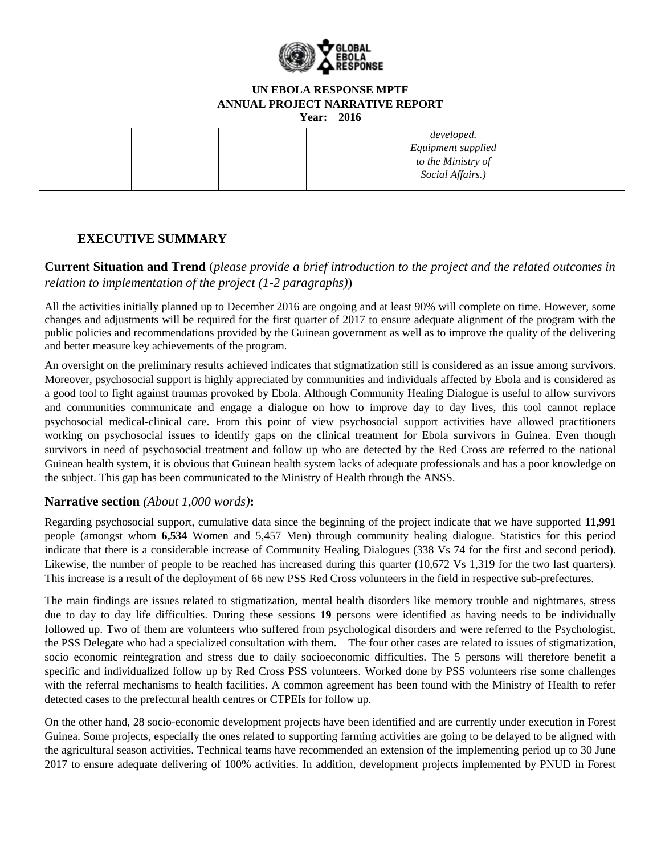

**Year: 2016**

|  |  | developed.         |  |
|--|--|--------------------|--|
|  |  | Equipment supplied |  |
|  |  | to the Ministry of |  |
|  |  | Social Affairs.)   |  |
|  |  |                    |  |

## **EXECUTIVE SUMMARY**

**Current Situation and Trend** (*please provide a brief introduction to the project and the related outcomes in relation to implementation of the project (1-2 paragraphs)*)

All the activities initially planned up to December 2016 are ongoing and at least 90% will complete on time. However, some changes and adjustments will be required for the first quarter of 2017 to ensure adequate alignment of the program with the public policies and recommendations provided by the Guinean government as well as to improve the quality of the delivering and better measure key achievements of the program.

An oversight on the preliminary results achieved indicates that stigmatization still is considered as an issue among survivors. Moreover, psychosocial support is highly appreciated by communities and individuals affected by Ebola and is considered as a good tool to fight against traumas provoked by Ebola. Although Community Healing Dialogue is useful to allow survivors and communities communicate and engage a dialogue on how to improve day to day lives, this tool cannot replace psychosocial medical-clinical care. From this point of view psychosocial support activities have allowed practitioners working on psychosocial issues to identify gaps on the clinical treatment for Ebola survivors in Guinea. Even though survivors in need of psychosocial treatment and follow up who are detected by the Red Cross are referred to the national Guinean health system, it is obvious that Guinean health system lacks of adequate professionals and has a poor knowledge on the subject. This gap has been communicated to the Ministry of Health through the ANSS.

## **Narrative section** *(About 1,000 words)***:**

Regarding psychosocial support, cumulative data since the beginning of the project indicate that we have supported **11,991**  people (amongst whom **6,534** Women and 5,457 Men) through community healing dialogue. Statistics for this period indicate that there is a considerable increase of Community Healing Dialogues (338 Vs 74 for the first and second period). Likewise, the number of people to be reached has increased during this quarter (10,672 Vs 1,319 for the two last quarters). This increase is a result of the deployment of 66 new PSS Red Cross volunteers in the field in respective sub-prefectures.

The main findings are issues related to stigmatization, mental health disorders like memory trouble and nightmares, stress due to day to day life difficulties. During these sessions **19** persons were identified as having needs to be individually followed up. Two of them are volunteers who suffered from psychological disorders and were referred to the Psychologist, the PSS Delegate who had a specialized consultation with them. The four other cases are related to issues of stigmatization, socio economic reintegration and stress due to daily socioeconomic difficulties. The 5 persons will therefore benefit a specific and individualized follow up by Red Cross PSS volunteers. Worked done by PSS volunteers rise some challenges with the referral mechanisms to health facilities. A common agreement has been found with the Ministry of Health to refer detected cases to the prefectural health centres or CTPEIs for follow up.

On the other hand, 28 socio-economic development projects have been identified and are currently under execution in Forest Guinea. Some projects, especially the ones related to supporting farming activities are going to be delayed to be aligned with the agricultural season activities. Technical teams have recommended an extension of the implementing period up to 30 June 2017 to ensure adequate delivering of 100% activities. In addition, development projects implemented by PNUD in Forest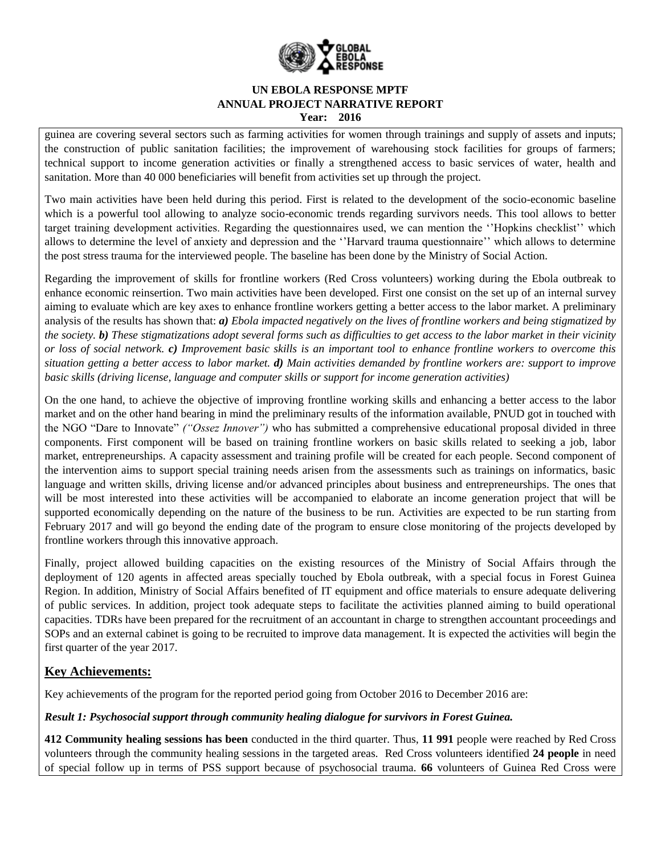

guinea are covering several sectors such as farming activities for women through trainings and supply of assets and inputs; the construction of public sanitation facilities; the improvement of warehousing stock facilities for groups of farmers; technical support to income generation activities or finally a strengthened access to basic services of water, health and sanitation. More than 40 000 beneficiaries will benefit from activities set up through the project.

Two main activities have been held during this period. First is related to the development of the socio-economic baseline which is a powerful tool allowing to analyze socio-economic trends regarding survivors needs. This tool allows to better target training development activities. Regarding the questionnaires used, we can mention the ''Hopkins checklist'' which allows to determine the level of anxiety and depression and the ''Harvard trauma questionnaire'' which allows to determine the post stress trauma for the interviewed people. The baseline has been done by the Ministry of Social Action.

Regarding the improvement of skills for frontline workers (Red Cross volunteers) working during the Ebola outbreak to enhance economic reinsertion. Two main activities have been developed. First one consist on the set up of an internal survey aiming to evaluate which are key axes to enhance frontline workers getting a better access to the labor market. A preliminary analysis of the results has shown that: *a) Ebola impacted negatively on the lives of frontline workers and being stigmatized by the society. b) These stigmatizations adopt several forms such as difficulties to get access to the labor market in their vicinity or loss of social network. c) Improvement basic skills is an important tool to enhance frontline workers to overcome this situation getting a better access to labor market. d) Main activities demanded by frontline workers are: support to improve basic skills (driving license, language and computer skills or support for income generation activities)*

On the one hand, to achieve the objective of improving frontline working skills and enhancing a better access to the labor market and on the other hand bearing in mind the preliminary results of the information available, PNUD got in touched with the NGO "Dare to Innovate" *("Ossez Innover")* who has submitted a comprehensive educational proposal divided in three components. First component will be based on training frontline workers on basic skills related to seeking a job, labor market, entrepreneurships. A capacity assessment and training profile will be created for each people. Second component of the intervention aims to support special training needs arisen from the assessments such as trainings on informatics, basic language and written skills, driving license and/or advanced principles about business and entrepreneurships. The ones that will be most interested into these activities will be accompanied to elaborate an income generation project that will be supported economically depending on the nature of the business to be run. Activities are expected to be run starting from February 2017 and will go beyond the ending date of the program to ensure close monitoring of the projects developed by frontline workers through this innovative approach.

Finally, project allowed building capacities on the existing resources of the Ministry of Social Affairs through the deployment of 120 agents in affected areas specially touched by Ebola outbreak, with a special focus in Forest Guinea Region. In addition, Ministry of Social Affairs benefited of IT equipment and office materials to ensure adequate delivering of public services. In addition, project took adequate steps to facilitate the activities planned aiming to build operational capacities. TDRs have been prepared for the recruitment of an accountant in charge to strengthen accountant proceedings and SOPs and an external cabinet is going to be recruited to improve data management. It is expected the activities will begin the first quarter of the year 2017.

## **Key Achievements:**

Key achievements of the program for the reported period going from October 2016 to December 2016 are:

#### *Result 1: Psychosocial support through community healing dialogue for survivors in Forest Guinea.*

**412 Community healing sessions has been** conducted in the third quarter. Thus, **11 991** people were reached by Red Cross volunteers through the community healing sessions in the targeted areas. Red Cross volunteers identified **24 people** in need of special follow up in terms of PSS support because of psychosocial trauma. **66** volunteers of Guinea Red Cross were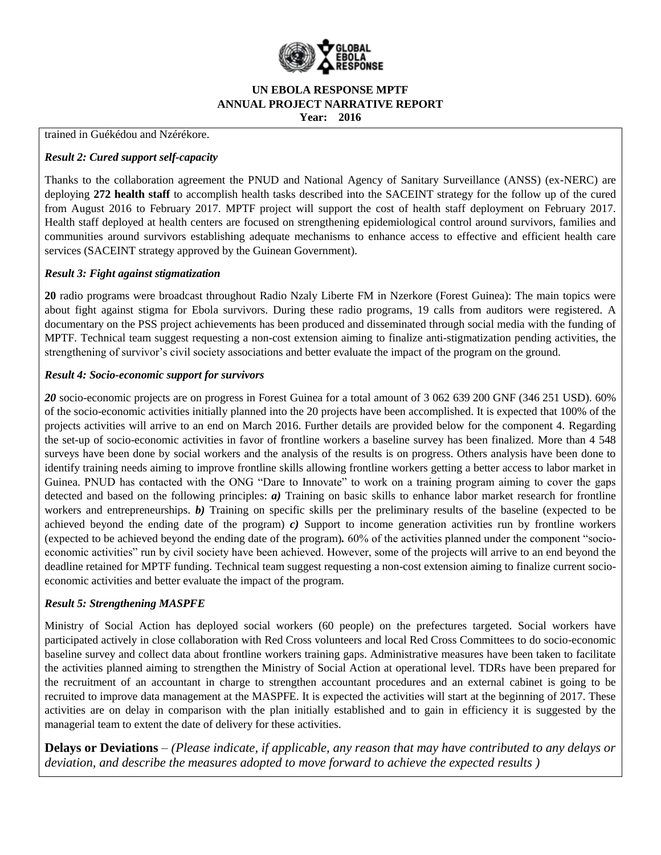

trained in Guékédou and Nzérékore.

#### *Result 2: Cured support self-capacity*

Thanks to the collaboration agreement the PNUD and National Agency of Sanitary Surveillance (ANSS) (ex-NERC) are deploying **272 health staff** to accomplish health tasks described into the SACEINT strategy for the follow up of the cured from August 2016 to February 2017. MPTF project will support the cost of health staff deployment on February 2017. Health staff deployed at health centers are focused on strengthening epidemiological control around survivors, families and communities around survivors establishing adequate mechanisms to enhance access to effective and efficient health care services (SACEINT strategy approved by the Guinean Government).

#### *Result 3: Fight against stigmatization*

**20** radio programs were broadcast throughout Radio Nzaly Liberte FM in Nzerkore (Forest Guinea): The main topics were about fight against stigma for Ebola survivors. During these radio programs, 19 calls from auditors were registered. A documentary on the PSS project achievements has been produced and disseminated through social media with the funding of MPTF. Technical team suggest requesting a non-cost extension aiming to finalize anti-stigmatization pending activities, the strengthening of survivor's civil society associations and better evaluate the impact of the program on the ground.

#### *Result 4: Socio-economic support for survivors*

*20* socio-economic projects are on progress in Forest Guinea for a total amount of 3 062 639 200 GNF (346 251 USD). 60% of the socio-economic activities initially planned into the 20 projects have been accomplished. It is expected that 100% of the projects activities will arrive to an end on March 2016. Further details are provided below for the component 4. Regarding the set-up of socio-economic activities in favor of frontline workers a baseline survey has been finalized. More than 4 548 surveys have been done by social workers and the analysis of the results is on progress. Others analysis have been done to identify training needs aiming to improve frontline skills allowing frontline workers getting a better access to labor market in Guinea. PNUD has contacted with the ONG "Dare to Innovate" to work on a training program aiming to cover the gaps detected and based on the following principles: *a)* Training on basic skills to enhance labor market research for frontline workers and entrepreneurships. *b)* Training on specific skills per the preliminary results of the baseline (expected to be achieved beyond the ending date of the program)  $c$ ) Support to income generation activities run by frontline workers (expected to be achieved beyond the ending date of the program)*.* 60% of the activities planned under the component "socioeconomic activities" run by civil society have been achieved. However, some of the projects will arrive to an end beyond the deadline retained for MPTF funding. Technical team suggest requesting a non-cost extension aiming to finalize current socioeconomic activities and better evaluate the impact of the program.

#### *Result 5: Strengthening MASPFE*

Ministry of Social Action has deployed social workers (60 people) on the prefectures targeted. Social workers have participated actively in close collaboration with Red Cross volunteers and local Red Cross Committees to do socio-economic baseline survey and collect data about frontline workers training gaps. Administrative measures have been taken to facilitate the activities planned aiming to strengthen the Ministry of Social Action at operational level. TDRs have been prepared for the recruitment of an accountant in charge to strengthen accountant procedures and an external cabinet is going to be recruited to improve data management at the MASPFE. It is expected the activities will start at the beginning of 2017. These activities are on delay in comparison with the plan initially established and to gain in efficiency it is suggested by the managerial team to extent the date of delivery for these activities.

**Delays or Deviations** *– (Please indicate, if applicable, any reason that may have contributed to any delays or deviation, and describe the measures adopted to move forward to achieve the expected results )*